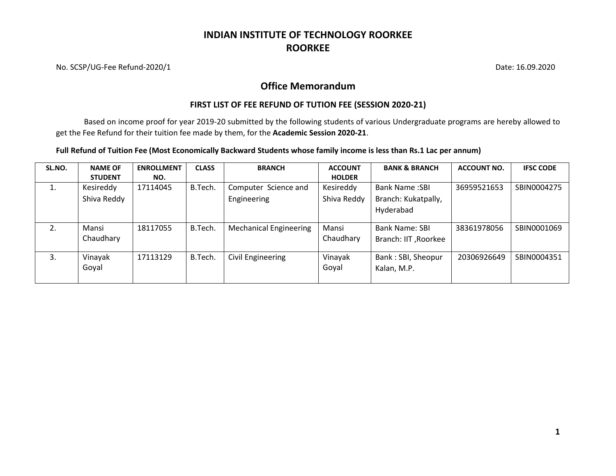# **INDIAN INSTITUTE OF TECHNOLOGY ROORKEE ROORKEE**

No. SCSP/UG-Fee Refund-2020/1 Date: 16.09.2020

### **Office Memorandum**

### **FIRST LIST OF FEE REFUND OF TUTION FEE (SESSION 2020-21)**

Based on income proof for year 2019-20 submitted by the following students of various Undergraduate programs are hereby allowed to get the Fee Refund for their tuition fee made by them, for the **Academic Session 2020-21**.

### **Full Refund of Tuition Fee (Most Economically Backward Students whose family income is less than Rs.1 Lac per annum)**

| SL.NO. | <b>NAME OF</b>     | <b>ENROLLMENT</b> | <b>CLASS</b> | <b>BRANCH</b>                 | <b>ACCOUNT</b>     | <b>BANK &amp; BRANCH</b>                      | <b>ACCOUNT NO.</b> | <b>IFSC CODE</b> |
|--------|--------------------|-------------------|--------------|-------------------------------|--------------------|-----------------------------------------------|--------------------|------------------|
|        | <b>STUDENT</b>     | NO.               |              |                               | <b>HOLDER</b>      |                                               |                    |                  |
| ⊥.     | Kesireddy          | 17114045          | B.Tech.      | Computer Science and          | Kesireddy          | <b>Bank Name:SBI</b>                          | 36959521653        | SBIN0004275      |
|        | Shiva Reddy        |                   |              | Engineering                   | Shiva Reddy        | Branch: Kukatpally,                           |                    |                  |
|        |                    |                   |              |                               |                    | Hyderabad                                     |                    |                  |
| 2.     | Mansi<br>Chaudhary | 18117055          | B.Tech.      | <b>Mechanical Engineering</b> | Mansi<br>Chaudhary | <b>Bank Name: SBI</b><br>Branch: IIT, Roorkee | 38361978056        | SBIN0001069      |
| 3.     | Vinayak<br>Goyal   | 17113129          | B.Tech.      | Civil Engineering             | Vinayak<br>Goyal   | Bank: SBI, Sheopur<br>Kalan, M.P.             | 20306926649        | SBIN0004351      |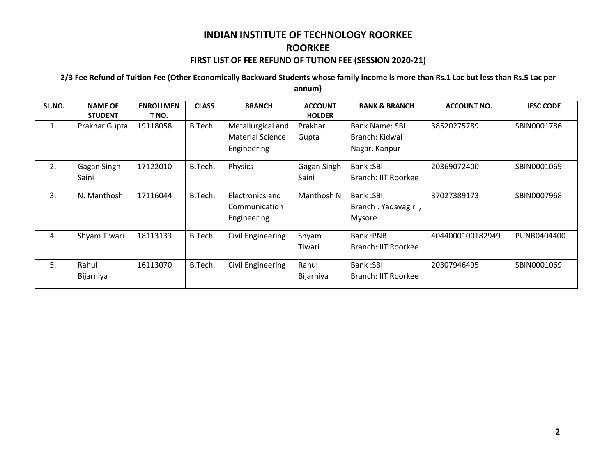### **2/3 Fee Refund of Tuition Fee (Other Economically Backward Students whose family income is more than Rs.1 Lac but less than Rs.5 Lac per annum)**

| SL.NO. | <b>NAME OF</b><br><b>STUDENT</b> | <b>ENROLLMEN</b><br>T NO. | <b>CLASS</b> | <b>BRANCH</b>                                               | <b>ACCOUNT</b><br><b>HOLDER</b> | <b>BANK &amp; BRANCH</b>                          | <b>ACCOUNT NO.</b> | <b>IFSC CODE</b> |
|--------|----------------------------------|---------------------------|--------------|-------------------------------------------------------------|---------------------------------|---------------------------------------------------|--------------------|------------------|
| 1.     | Prakhar Gupta                    | 19118058                  | B.Tech.      | Metallurgical and<br><b>Material Science</b><br>Engineering | Prakhar<br>Gupta                | Bank Name: SBI<br>Branch: Kidwai<br>Nagar, Kanpur | 38520275789        | SBIN0001786      |
| 2.     | Gagan Singh<br>Saini             | 17122010                  | B.Tech.      | Physics                                                     | Gagan Singh<br>Saini            | <b>Bank:SBI</b><br>Branch: IIT Roorkee            | 20369072400        | SBIN0001069      |
| 3.     | N. Manthosh                      | 17116044                  | B.Tech.      | Electronics and<br>Communication<br>Engineering             | Manthosh N                      | Bank:SBI,<br>Branch: Yadavagiri,<br>Mysore        | 37027389173        | SBIN0007968      |
| 4.     | Shyam Tiwari                     | 18113133                  | B.Tech.      | Civil Engineering                                           | Shyam<br>Tiwari                 | Bank:PNB<br>Branch: IIT Roorkee                   | 4044000100182949   | PUNB0404400      |
| 5.     | Rahul<br>Bijarniya               | 16113070                  | B.Tech.      | Civil Engineering                                           | Rahul<br>Bijarniya              | <b>Bank:SBI</b><br>Branch: IIT Roorkee            | 20307946495        | SBIN0001069      |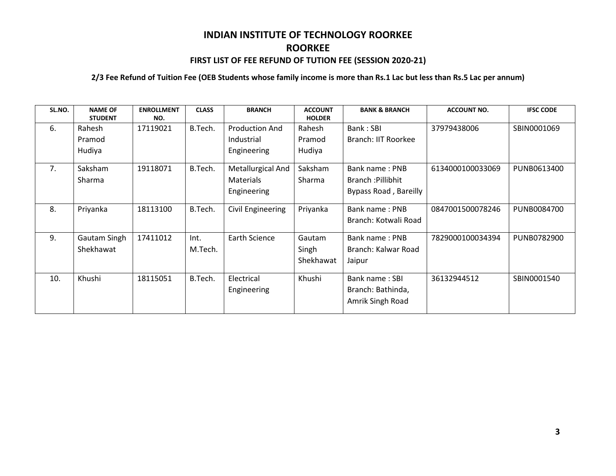#### **2/3 Fee Refund of Tuition Fee (OEB Students whose family income is more than Rs.1 Lac but less than Rs.5 Lac per annum)**

| SL.NO. | <b>NAME OF</b><br><b>STUDENT</b> | <b>ENROLLMENT</b><br>NO. | <b>CLASS</b>    | <b>BRANCH</b>                                      | <b>ACCOUNT</b><br><b>HOLDER</b> | <b>BANK &amp; BRANCH</b>                                     | <b>ACCOUNT NO.</b> | <b>IFSC CODE</b> |
|--------|----------------------------------|--------------------------|-----------------|----------------------------------------------------|---------------------------------|--------------------------------------------------------------|--------------------|------------------|
| 6.     | Rahesh<br>Pramod<br>Hudiya       | 17119021                 | B.Tech.         | <b>Production And</b><br>Industrial<br>Engineering | Rahesh<br>Pramod<br>Hudiya      | Bank: SBI<br>Branch: IIT Roorkee                             | 37979438006        | SBIN0001069      |
| 7.     | Saksham<br><b>Sharma</b>         | 19118071                 | B.Tech.         | Metallurgical And<br>Materials<br>Engineering      | Saksham<br>Sharma               | Bank name: PNB<br>Branch: Pillibhit<br>Bypass Road, Bareilly | 6134000100033069   | PUNB0613400      |
| 8.     | Priyanka                         | 18113100                 | B.Tech.         | Civil Engineering                                  | Priyanka                        | Bank name: PNB<br>Branch: Kotwali Road                       | 0847001500078246   | PUNB0084700      |
| 9.     | Gautam Singh<br>Shekhawat        | 17411012                 | Int.<br>M.Tech. | Earth Science                                      | Gautam<br>Singh<br>Shekhawat    | Bank name: PNB<br>Branch: Kalwar Road<br>Jaipur              | 7829000100034394   | PUNB0782900      |
| 10.    | Khushi                           | 18115051                 | B.Tech.         | Electrical<br>Engineering                          | Khushi                          | Bank name: SBI<br>Branch: Bathinda,<br>Amrik Singh Road      | 36132944512        | SBIN0001540      |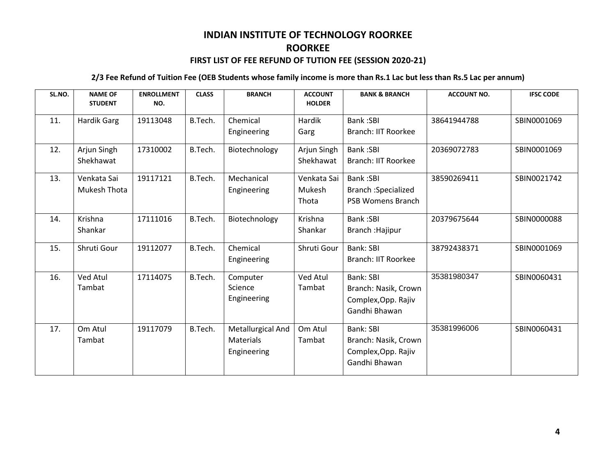#### **2/3 Fee Refund of Tuition Fee (OEB Students whose family income is more than Rs.1 Lac but less than Rs.5 Lac per annum)**

| SL.NO. | <b>NAME OF</b><br><b>STUDENT</b> | <b>ENROLLMENT</b><br>NO. | <b>CLASS</b> | <b>BRANCH</b>     | <b>ACCOUNT</b><br><b>HOLDER</b> | <b>BANK &amp; BRANCH</b>   | <b>ACCOUNT NO.</b> | <b>IFSC CODE</b> |
|--------|----------------------------------|--------------------------|--------------|-------------------|---------------------------------|----------------------------|--------------------|------------------|
| 11.    | Hardik Garg                      | 19113048                 | B.Tech.      | Chemical          | Hardik                          | <b>Bank:SBI</b>            | 38641944788        | SBIN0001069      |
|        |                                  |                          |              | Engineering       | Garg                            | <b>Branch: IIT Roorkee</b> |                    |                  |
| 12.    | Arjun Singh                      | 17310002                 | B.Tech.      | Biotechnology     | Arjun Singh                     | <b>Bank:SBI</b>            | 20369072783        | SBIN0001069      |
|        | Shekhawat                        |                          |              |                   | Shekhawat                       | <b>Branch: IIT Roorkee</b> |                    |                  |
| 13.    | Venkata Sai                      | 19117121                 | B.Tech.      | Mechanical        | Venkata Sai                     | <b>Bank:SBI</b>            | 38590269411        | SBIN0021742      |
|        | Mukesh Thota                     |                          |              | Engineering       | Mukesh                          | <b>Branch: Specialized</b> |                    |                  |
|        |                                  |                          |              |                   | Thota                           | <b>PSB Womens Branch</b>   |                    |                  |
| 14.    | Krishna                          | 17111016                 | B.Tech.      | Biotechnology     | Krishna                         | <b>Bank:SBI</b>            | 20379675644        | SBIN0000088      |
|        | Shankar                          |                          |              |                   | Shankar                         | <b>Branch : Hajipur</b>    |                    |                  |
| 15.    | Shruti Gour                      | 19112077                 | B.Tech.      | Chemical          | Shruti Gour                     | Bank: SBI                  | 38792438371        | SBIN0001069      |
|        |                                  |                          |              | Engineering       |                                 | <b>Branch: IIT Roorkee</b> |                    |                  |
| 16.    | Ved Atul                         | 17114075                 | B.Tech.      | Computer          | Ved Atul                        | <b>Bank: SBI</b>           | 35381980347        | SBIN0060431      |
|        | Tambat                           |                          |              | Science           | Tambat                          | Branch: Nasik, Crown       |                    |                  |
|        |                                  |                          |              | Engineering       |                                 | Complex, Opp. Rajiv        |                    |                  |
|        |                                  |                          |              |                   |                                 | Gandhi Bhawan              |                    |                  |
| 17.    | Om Atul                          | 19117079                 | B.Tech.      | Metallurgical And | Om Atul                         | Bank: SBI                  | 35381996006        | SBIN0060431      |
|        | Tambat                           |                          |              | <b>Materials</b>  | Tambat                          | Branch: Nasik, Crown       |                    |                  |
|        |                                  |                          |              | Engineering       |                                 | Complex, Opp. Rajiv        |                    |                  |
|        |                                  |                          |              |                   |                                 | Gandhi Bhawan              |                    |                  |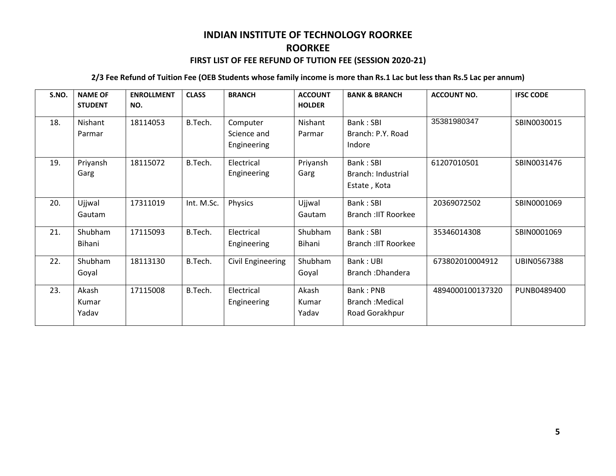#### **2/3 Fee Refund of Tuition Fee (OEB Students whose family income is more than Rs.1 Lac but less than Rs.5 Lac per annum)**

| S.NO. | <b>NAME OF</b><br><b>STUDENT</b> | <b>ENROLLMENT</b><br>NO. | <b>CLASS</b> | <b>BRANCH</b>                          | <b>ACCOUNT</b><br><b>HOLDER</b> | <b>BANK &amp; BRANCH</b>                               | <b>ACCOUNT NO.</b> | <b>IFSC CODE</b> |
|-------|----------------------------------|--------------------------|--------------|----------------------------------------|---------------------------------|--------------------------------------------------------|--------------------|------------------|
| 18.   | Nishant<br>Parmar                | 18114053                 | B.Tech.      | Computer<br>Science and<br>Engineering | Nishant<br>Parmar               | Bank: SBI<br>Branch: P.Y. Road<br>Indore               | 35381980347        | SBIN0030015      |
| 19.   | Priyansh<br>Garg                 | 18115072                 | B.Tech.      | Electrical<br>Engineering              | Priyansh<br>Garg                | Bank: SBI<br>Branch: Industrial<br>Estate, Kota        | 61207010501        | SBIN0031476      |
| 20.   | Ujjwal<br>Gautam                 | 17311019                 | Int. M.Sc.   | Physics                                | Ujjwal<br>Gautam                | Bank: SBI<br><b>Branch : IIT Roorkee</b>               | 20369072502        | SBIN0001069      |
| 21.   | Shubham<br>Bihani                | 17115093                 | B.Tech.      | Electrical<br>Engineering              | Shubham<br>Bihani               | Bank: SBI<br>Branch : IIT Roorkee                      | 35346014308        | SBIN0001069      |
| 22.   | Shubham<br>Goyal                 | 18113130                 | B.Tech.      | Civil Engineering                      | Shubham<br>Goyal                | Bank: UBI<br>Branch: Dhandera                          | 673802010004912    | UBIN0567388      |
| 23.   | Akash<br>Kumar<br>Yadav          | 17115008                 | B.Tech.      | Electrical<br>Engineering              | Akash<br>Kumar<br>Yadav         | Bank: PNB<br><b>Branch : Medical</b><br>Road Gorakhpur | 4894000100137320   | PUNB0489400      |